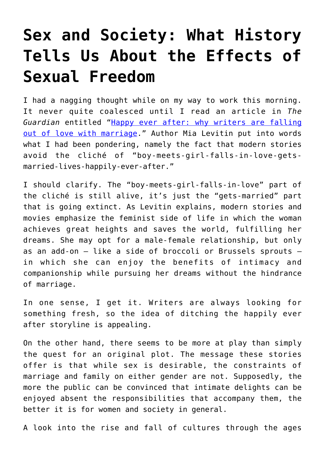## **[Sex and Society: What History](https://intellectualtakeout.org/2020/01/sex-and-society-what-history-tells-us-about-the-effects-of-sexual-freedom/) [Tells Us About the Effects of](https://intellectualtakeout.org/2020/01/sex-and-society-what-history-tells-us-about-the-effects-of-sexual-freedom/) [Sexual Freedom](https://intellectualtakeout.org/2020/01/sex-and-society-what-history-tells-us-about-the-effects-of-sexual-freedom/)**

I had a nagging thought while on my way to work this morning. It never quite coalesced until I read an article in *The Guardian* entitled "[Happy ever after: why writers are falling](https://www.theguardian.com/books/2020/jan/25/happy-ever-after-why-writers-are-falling-out-of-love-with-marriage) [out of love with marriage.](https://www.theguardian.com/books/2020/jan/25/happy-ever-after-why-writers-are-falling-out-of-love-with-marriage)" Author Mia Levitin put into words what I had been pondering, namely the fact that modern stories avoid the cliché of "boy-meets-girl-falls-in-love-getsmarried-lives-happily-ever-after."

I should clarify. The "boy-meets-girl-falls-in-love" part of the cliché is still alive, it's just the "gets-married" part that is going extinct. As Levitin explains, modern stories and movies emphasize the feminist side of life in which the woman achieves great heights and saves the world, fulfilling her dreams. She may opt for a male-female relationship, but only as an add-on – like a side of broccoli or Brussels sprouts – in which she can enjoy the benefits of intimacy and companionship while pursuing her dreams without the hindrance of marriage.

In one sense, I get it. Writers are always looking for something fresh, so the idea of ditching the happily ever after storyline is appealing.

On the other hand, there seems to be more at play than simply the quest for an original plot. The message these stories offer is that while sex is desirable, the constraints of marriage and family on either gender are not. Supposedly, the more the public can be convinced that intimate delights can be enjoyed absent the responsibilities that accompany them, the better it is for women and society in general.

A look into the rise and fall of cultures through the ages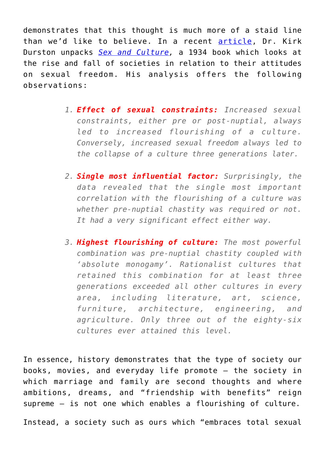demonstrates that this thought is much more of a staid line than we'd like to believe. In a recent [article,](https://www.kirkdurston.com/blog/unwin?fbclid=IwAR2CgjkfrqMHwlLlqW4HYo_K-nshQCphoIzV_uNjUzIRc1mI7uD7R7SiXTk) Dr. Kirk Durston unpacks *[Sex and Culture,](https://archive.org/details/b20442580/page/n7/mode/2up)* a 1934 book which looks at the rise and fall of societies in relation to their attitudes on sexual freedom. His analysis offers the following observations:

- *1. Effect of sexual constraints: Increased sexual constraints, either pre or post-nuptial, always led to increased flourishing of a culture. Conversely, increased sexual freedom always led to the collapse of a culture three generations later.*
- *2. Single most influential factor: Surprisingly, the data revealed that the single most important correlation with the flourishing of a culture was whether pre-nuptial chastity was required or not. It had a very significant effect either way.*
- *3. Highest flourishing of culture: The most powerful combination was pre-nuptial chastity coupled with 'absolute monogamy'. Rationalist cultures that retained this combination for at least three generations exceeded all other cultures in every area, including literature, art, science, furniture, architecture, engineering, and agriculture. Only three out of the eighty-six cultures ever attained this level.*

In essence, history demonstrates that the type of society our books, movies, and everyday life promote – the society in which marriage and family are second thoughts and where ambitions, dreams, and "friendship with benefits" reign supreme – is not one which enables a flourishing of culture.

Instead, a society such as ours which "embraces total sexual